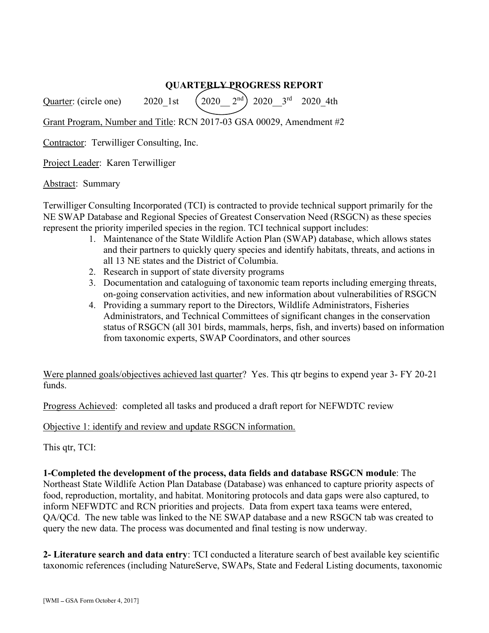## QUARTERLY PROGRESS REPORT

Quarter: (circle one) 2020 1st  $(2020 \t 2^{nd})$  2020  $3^{rd}$  2020 4th

Grant Program, Number and Title: RCN 2017-03 GSA 00029, Amendment #2

Contractor: Terwilliger Consulting, Inc.

Project Leader: Karen Terwilliger

Abstract: Summary

Terwilliger Consulting Incorporated (TCI) is contracted to provide technical support primarily for the NE SWAP Database and Regional Species of Greatest Conservation Need (RSGCN) as these species represent the priority imperiled species in the region. TCI technical support includes:

- 1. Maintenance of the State Wildlife Action Plan (SWAP) database, which allows states and their partners to quickly query species and identify habitats, threats, and actions in all 13 NE states and the District of Columbia.
- 2. Research in support of state diversity programs
- 3. Documentation and cataloguing of taxonomic team reports including emerging threats, on-going conservation activities, and new information about vulnerabilities of RSGCN
- 4. Providing a summary report to the Directors, Wildlife Administrators, Fisheries Administrators, and Technical Committees of significant changes in the conservation status of RSGCN (all 301 birds, mammals, herps, fish, and inverts) based on information from taxonomic experts, SWAP Coordinators, and other sources

Were planned goals/objectives achieved last quarter? Yes. This qtr begins to expend year 3- FY 20-21 funds.

Progress Achieved: completed all tasks and produced a draft report for NEFWDTC review

Objective 1: identify and review and update RSGCN information.

This qtr, TCI:

1-Completed the development of the process, data fields and database RSGCN module: The Northeast State Wildlife Action Plan Database (Database) was enhanced to capture priority aspects of food, reproduction, mortality, and habitat. Monitoring protocols and data gaps were also captured, to inform NEFWDTC and RCN priorities and projects. Data from expert taxa teams were entered, QA/QCd. The new table was linked to the NE SWAP database and a new RSGCN tab was created to query the new data. The process was documented and final testing is now underway. Were planned goals/objectives achieved last quarter? Yes. This qtr begins to expend year 3- FY 20-21<br>
Frogress Achieved: completed all tasks and produced a draft report for NEFWDTC review<br>
Objective 1: identify and review

taxonomic references (including NatureServe, SWAPs, State and Federal Listing documents, taxonomic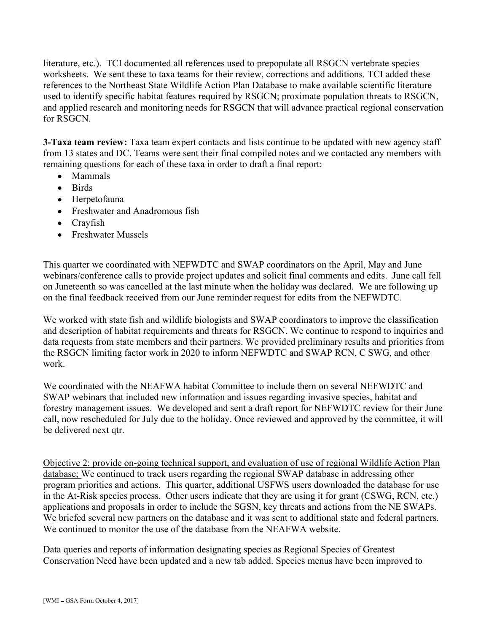literature, etc.). TCI documented all references used to prepopulate all RSGCN vertebrate species worksheets. We sent these to taxa teams for their review, corrections and additions. TCI added these references to the Northeast State Wildlife Action Plan Database to make available scientific literature used to identify specific habitat features required by RSGCN; proximate population threats to RSGCN, and applied research and monitoring needs for RSGCN that will advance practical regional conservation for RSGCN.

**3-Taxa team review:** Taxa team expert contacts and lists continue to be updated with new agency staff from 13 states and DC. Teams were sent their final compiled notes and we contacted any members with remaining questions for each of these taxa in order to draft a final report:

- Mammals  $\bullet$
- Birds
- Herpetofauna
- Freshwater and Anadromous fish
- Crayfish
- Freshwater Mussels

This quarter we coordinated with NEFWDTC and SWAP coordinators on the April, May and June webinars/conference calls to provide project updates and solicit final comments and edits. June call fell on Juneteenth so was cancelled at the last minute when the holiday was declared. We are following up on the final feedback received from our June reminder request for edits from the NEFWDTC.

We worked with state fish and wildlife biologists and SWAP coordinators to improve the classification and description of habitat requirements and threats for RSGCN. We continue to respond to inquiries and data requests from state members and their partners. We provided preliminary results and priorities from the RSGCN limiting factor work in 2020 to inform NEFWDTC and SWAP RCN, C SWG, and other work.

We coordinated with the NEAFWA habitat Committee to include them on several NEFWDTC and SWAP webinars that included new information and issues regarding invasive species, habitat and forestry management issues. We developed and sent a draft report for NEFWDTC review for their June call, now rescheduled for July due to the holiday. Once reviewed and approved by the committee, it will be delivered next qtr.

Objective 2: provide on-going technical support, and evaluation of use of regional Wildlife Action Plan database; We continued to track users regarding the regional SWAP database in addressing other program priorities and actions. This quarter, additional USFWS users downloaded the database for use in the At-Risk species process. Other users indicate that they are using it for grant (CSWG, RCN, etc.) applications and proposals in order to include the SGSN, key threats and actions from the NE SWAPs. We briefed several new partners on the database and it was sent to additional state and federal partners. We continued to monitor the use of the database from the NEAFWA website.

Data queries and reports of information designating species as Regional Species of Greatest Conservation Need have been updated and a new tab added. Species menus have been improved to